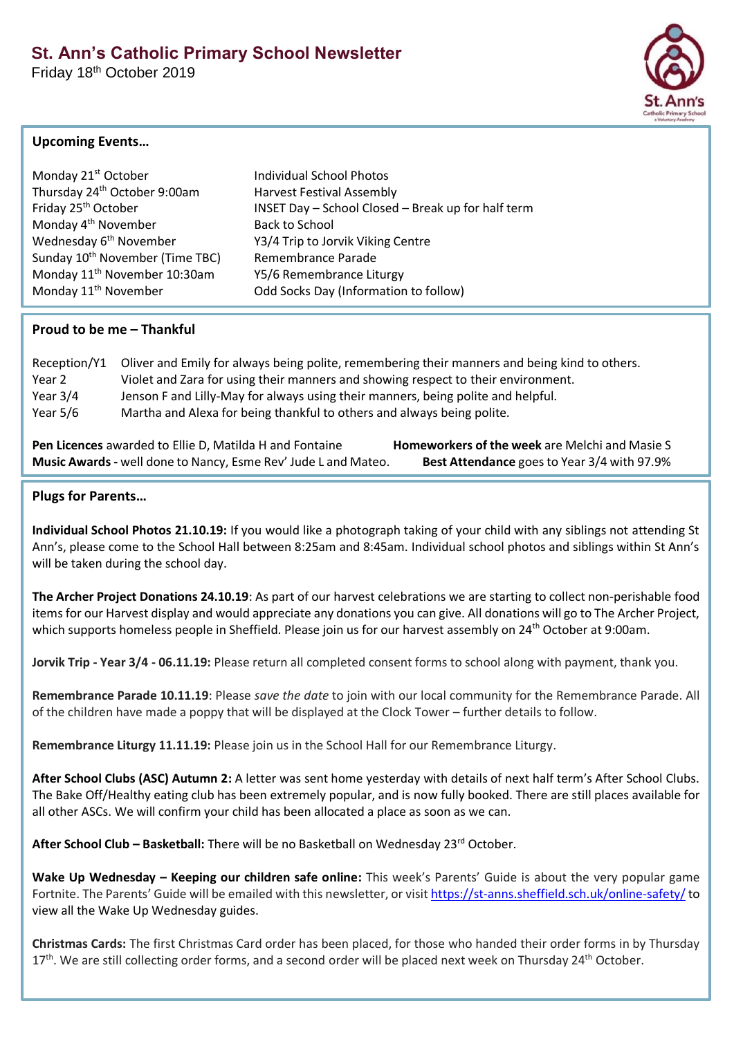Friday 18th October 2019



## **Upcoming Events…**

| Monday 21 <sup>st</sup> October             | <b>Individual School Photos</b>                    |
|---------------------------------------------|----------------------------------------------------|
| Thursday 24 <sup>th</sup> October 9:00am    | <b>Harvest Festival Assembly</b>                   |
| Friday 25 <sup>th</sup> October             | INSET Day - School Closed - Break up for half term |
| Monday 4 <sup>th</sup> November             | <b>Back to School</b>                              |
| Wednesday 6 <sup>th</sup> November          | Y3/4 Trip to Jorvik Viking Centre                  |
| Sunday 10 <sup>th</sup> November (Time TBC) | Remembrance Parade                                 |
| Monday 11 <sup>th</sup> November 10:30am    | Y5/6 Remembrance Liturgy                           |
| Monday 11 <sup>th</sup> November            | Odd Socks Day (Information to follow)              |
|                                             |                                                    |

## **Proud to be me – Thankful**

| Reception/Y1 | Oliver and Emily for always being polite, remembering their manners and being kind to others. |
|--------------|-----------------------------------------------------------------------------------------------|
| Year 2       | Violet and Zara for using their manners and showing respect to their environment.             |
| Year $3/4$   | Jenson F and Lilly-May for always using their manners, being polite and helpful.              |
| Year 5/6     | Martha and Alexa for being thankful to others and always being polite.                        |

**Pen Licences** awarded to Ellie D, Matilda H and Fontaine **Homeworkers of the week** are Melchi and Masie S **Music Awards-** well done to Nancy, Esme Rev' Jude L and Mateo. **Best Attendance** goes to Year 3/4 with 97.9%

## **Plugs for Parents…**

**Individual School Photos 21.10.19:** If you would like a photograph taking of your child with any siblings not attending St Ann's, please come to the School Hall between 8:25am and 8:45am. Individual school photos and siblings within St Ann's will be taken during the school day.

**The Archer Project Donations 24.10.19**: As part of our harvest celebrations we are starting to collect non-perishable food items for our Harvest display and would appreciate any donations you can give. All donations will go to The Archer Project, which supports homeless people in Sheffield. Please join us for our harvest assembly on 24<sup>th</sup> October at 9:00am.

**Jorvik Trip - Year 3/4 - 06.11.19:** Please return all completed consent forms to school along with payment, thank you.

**Remembrance Parade 10.11.19**: Please *save the date* to join with our local community for the Remembrance Parade. All of the children have made a poppy that will be displayed at the Clock Tower – further details to follow.

**Remembrance Liturgy 11.11.19:** Please join us in the School Hall for our Remembrance Liturgy.

**After School Clubs (ASC) Autumn 2:** A letter was sent home yesterday with details of next half term's After School Clubs. The Bake Off/Healthy eating club has been extremely popular, and is now fully booked. There are still places available for all other ASCs. We will confirm your child has been allocated a place as soon as we can.

**After School Club – Basketball:** There will be no Basketball on Wednesday 23rd October.

**Wake Up Wednesday – Keeping our children safe online:** This week's Parents' Guide is about the very popular game Fortnite. The Parents' Guide will be emailed with this newsletter, or visit <https://st-anns.sheffield.sch.uk/online-safety/> to view all the Wake Up Wednesday guides.

**Christmas Cards:** The first Christmas Card order has been placed, for those who handed their order forms in by Thursday 17<sup>th</sup>. We are still collecting order forms, and a second order will be placed next week on Thursday 24<sup>th</sup> October.